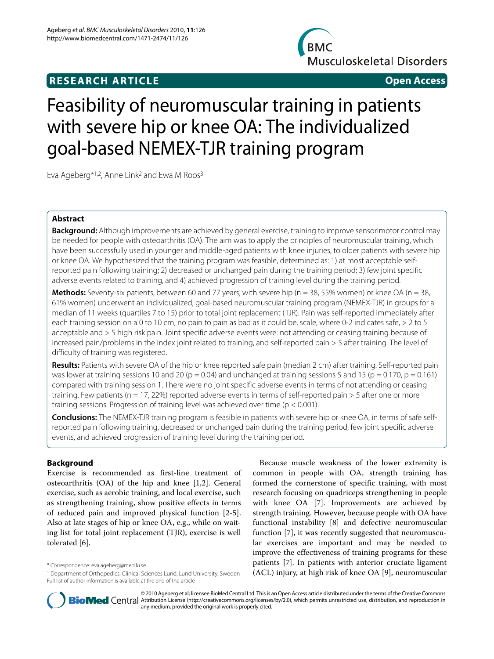# **RESEARCH ARTICLE Open Access**

**BMC Musculoskeletal Disorders** 

# Feasibility of neuromuscular training in patients with severe hip or knee OA: The individualized goal-based NEMEX-TJR training program

Eva Ageberg\*1,2, Anne Link2 and Ewa M Roos3

# **Abstract**

**Background:** Although improvements are achieved by general exercise, training to improve sensorimotor control may be needed for people with osteoarthritis (OA). The aim was to apply the principles of neuromuscular training, which have been successfully used in younger and middle-aged patients with knee injuries, to older patients with severe hip or knee OA. We hypothesized that the training program was feasible, determined as: 1) at most acceptable selfreported pain following training; 2) decreased or unchanged pain during the training period; 3) few joint specific adverse events related to training, and 4) achieved progression of training level during the training period.

**Methods:** Seventy-six patients, between 60 and 77 years, with severe hip (n = 38, 55% women) or knee OA (n = 38, 61% women) underwent an individualized, goal-based neuromuscular training program (NEMEX-TJR) in groups for a median of 11 weeks (quartiles 7 to 15) prior to total joint replacement (TJR). Pain was self-reported immediately after each training session on a 0 to 10 cm, no pain to pain as bad as it could be, scale, where 0-2 indicates safe, > 2 to 5 acceptable and > 5 high risk pain. Joint specific adverse events were: not attending or ceasing training because of increased pain/problems in the index joint related to training, and self-reported pain > 5 after training. The level of difficulty of training was registered.

**Results:** Patients with severe OA of the hip or knee reported safe pain (median 2 cm) after training. Self-reported pain was lower at training sessions 10 and 20 (p = 0.04) and unchanged at training sessions 5 and 15 (p = 0.170, p = 0.161) compared with training session 1. There were no joint specific adverse events in terms of not attending or ceasing training. Few patients ( $n = 17$ , 22%) reported adverse events in terms of self-reported pain  $> 5$  after one or more training sessions. Progression of training level was achieved over time (p < 0.001).

**Conclusions:** The NEMEX-TJR training program is feasible in patients with severe hip or knee OA, in terms of safe selfreported pain following training, decreased or unchanged pain during the training period, few joint specific adverse events, and achieved progression of training level during the training period.

# **Background**

Exercise is recommended as first-line treatment of osteoarthritis (OA) of the hip and knee [[1](#page-5-0)[,2](#page-5-1)]. General exercise, such as aerobic training, and local exercise, such as strengthening training, show positive effects in terms of reduced pain and improved physical function [[2-](#page-5-1)[5](#page-5-2)]. Also at late stages of hip or knee OA, e.g., while on waiting list for total joint replacement (TJR), exercise is well tolerated [[6\]](#page-5-3).

Because muscle weakness of the lower extremity is common in people with OA, strength training has formed the cornerstone of specific training, with most research focusing on quadriceps strengthening in people with knee OA [[7\]](#page-5-4). Improvements are achieved by strength training. However, because people with OA have functional instability [[8\]](#page-5-5) and defective neuromuscular function [[7\]](#page-5-4), it was recently suggested that neuromuscular exercises are important and may be needed to improve the effectiveness of training programs for these patients [\[7](#page-5-4)]. In patients with anterior cruciate ligament (ACL) injury, at high risk of knee OA [[9](#page-5-6)], neuromuscular



© 2010 Ageberg et al; licensee BioMed Central Ltd. This is an Open Access article distributed under the terms of the Creative Commons **BioMed** Central Attribution License (http://creativecommons.org/licenses/by/2.0), which permits unrestricted use, distribution, and reproduction in any medium, provided the original work is properly cited.

<sup>\*</sup> Correspondence: eva.ageberg@med.lu.se

<sup>&</sup>lt;sup>1</sup> Department of Orthopedics, Clinical Sciences Lund, Lund University, Sweden Full list of author information is available at the end of the article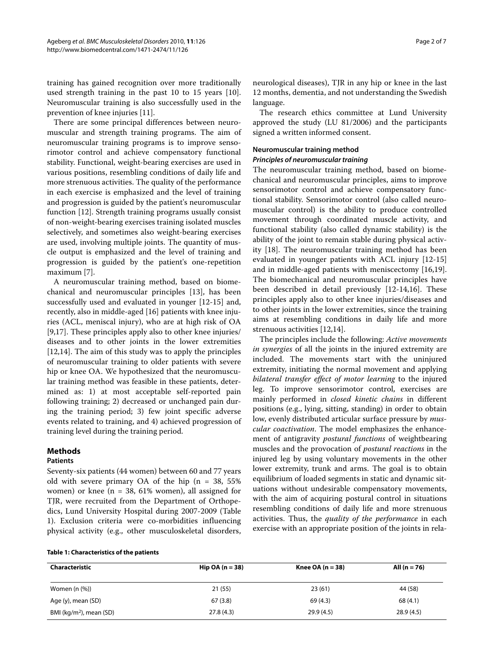training has gained recognition over more traditionally used strength training in the past 10 to 15 years [\[10](#page-6-0)]. Neuromuscular training is also successfully used in the prevention of knee injuries [[11](#page-6-1)].

There are some principal differences between neuromuscular and strength training programs. The aim of neuromuscular training programs is to improve sensorimotor control and achieve compensatory functional stability. Functional, weight-bearing exercises are used in various positions, resembling conditions of daily life and more strenuous activities. The quality of the performance in each exercise is emphasized and the level of training and progression is guided by the patient's neuromuscular function [\[12](#page-6-2)]. Strength training programs usually consist of non-weight-bearing exercises training isolated muscles selectively, and sometimes also weight-bearing exercises are used, involving multiple joints. The quantity of muscle output is emphasized and the level of training and progression is guided by the patient's one-repetition maximum [\[7](#page-5-4)].

A neuromuscular training method, based on biomechanical and neuromuscular principles [[13\]](#page-6-3), has been successfully used and evaluated in younger [\[12](#page-6-2)-[15](#page-6-4)] and, recently, also in middle-aged [[16\]](#page-6-5) patients with knee injuries (ACL, meniscal injury), who are at high risk of OA [[9,](#page-5-6)[17\]](#page-6-6). These principles apply also to other knee injuries/ diseases and to other joints in the lower extremities [[12,](#page-6-2)[14\]](#page-6-7). The aim of this study was to apply the principles of neuromuscular training to older patients with severe hip or knee OA. We hypothesized that the neuromuscular training method was feasible in these patients, determined as: 1) at most acceptable self-reported pain following training; 2) decreased or unchanged pain during the training period; 3) few joint specific adverse events related to training, and 4) achieved progression of training level during the training period.

# **Methods**

#### **Patients**

Seventy-six patients (44 women) between 60 and 77 years old with severe primary OA of the hip ( $n = 38, 55\%$ ) women) or knee ( $n = 38, 61\%$  women), all assigned for TJR, were recruited from the Department of Orthopedics, Lund University Hospital during 2007-2009 (Table 1). Exclusion criteria were co-morbidities influencing physical activity (e.g., other musculoskeletal disorders,

neurological diseases), TJR in any hip or knee in the last 12 months, dementia, and not understanding the Swedish language.

The research ethics committee at Lund University approved the study (LU 81/2006) and the participants signed a written informed consent.

# **Neuromuscular training method**

#### **Principles of neuromuscular training**

The neuromuscular training method, based on biomechanical and neuromuscular principles, aims to improve sensorimotor control and achieve compensatory functional stability. Sensorimotor control (also called neuromuscular control) is the ability to produce controlled movement through coordinated muscle activity, and functional stability (also called dynamic stability) is the ability of the joint to remain stable during physical activity [\[18](#page-6-8)]. The neuromuscular training method has been evaluated in younger patients with ACL injury [\[12](#page-6-2)-[15](#page-6-4)] and in middle-aged patients with meniscectomy [\[16](#page-6-5)[,19](#page-6-9)]. The biomechanical and neuromuscular principles have been described in detail previously [[12-](#page-6-2)[14](#page-6-7)[,16](#page-6-5)]. These principles apply also to other knee injuries/diseases and to other joints in the lower extremities, since the training aims at resembling conditions in daily life and more strenuous activities [\[12](#page-6-2)[,14](#page-6-7)].

The principles include the following: *Active movements in synergies* of all the joints in the injured extremity are included. The movements start with the uninjured extremity, initiating the normal movement and applying *bilateral transfer effect of motor learning* to the injured leg. To improve sensorimotor control, exercises are mainly performed in *closed kinetic chains* in different positions (e.g., lying, sitting, standing) in order to obtain low, evenly distributed articular surface pressure by *muscular coactivation*. The model emphasizes the enhancement of antigravity *postural functions* of weightbearing muscles and the provocation of *postural reactions* in the injured leg by using voluntary movements in the other lower extremity, trunk and arms. The goal is to obtain equilibrium of loaded segments in static and dynamic situations without undesirable compensatory movements, with the aim of acquiring postural control in situations resembling conditions of daily life and more strenuous activities. Thus, the *quality of the performance* in each exercise with an appropriate position of the joints in rela-

| <b>Characteristic</b>               | Hip OA $(n = 38)$ | Knee OA ( $n = 38$ ) | All $(n = 76)$ |
|-------------------------------------|-------------------|----------------------|----------------|
| Women $(n \ (\%))$                  | 21(55)            | 23(61)               | 44 (58)        |
| Age (y), mean (SD)                  | 67(3.8)           | 69 (4.3)             | 68 (4.1)       |
| BMI (kg/m <sup>2</sup> ), mean (SD) | 27.8(4.3)         | 29.9(4.5)            | 28.9(4.5)      |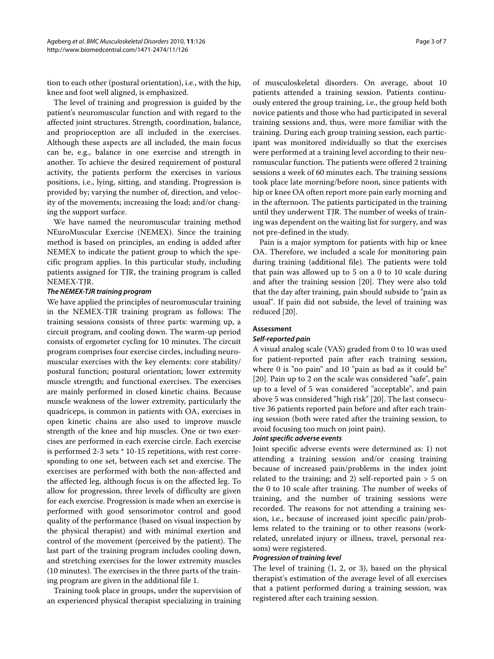tion to each other (postural orientation), i.e., with the hip, knee and foot well aligned, is emphasized.

The level of training and progression is guided by the patient's neuromuscular function and with regard to the affected joint structures. Strength, coordination, balance, and proprioception are all included in the exercises. Although these aspects are all included, the main focus can be, e.g., balance in one exercise and strength in another. To achieve the desired requirement of postural activity, the patients perform the exercises in various positions, i.e., lying, sitting, and standing. Progression is provided by; varying the number of, direction, and velocity of the movements; increasing the load; and/or changing the support surface.

We have named the neuromuscular training method NEuroMuscular Exercise (NEMEX). Since the training method is based on principles, an ending is added after NEMEX to indicate the patient group to which the specific program applies. In this particular study, including patients assigned for TJR, the training program is called NEMEX-TJR.

#### **The NEMEX-TJR training program**

We have applied the principles of neuromuscular training in the NEMEX-TJR training program as follows: The training sessions consists of three parts: warming up, a circuit program, and cooling down. The warm-up period consists of ergometer cycling for 10 minutes. The circuit program comprises four exercise circles, including neuromuscular exercises with the key elements: core stability/ postural function; postural orientation; lower extremity muscle strength; and functional exercises. The exercises are mainly performed in closed kinetic chains. Because muscle weakness of the lower extremity, particularly the quadriceps, is common in patients with OA, exercises in open kinetic chains are also used to improve muscle strength of the knee and hip muscles. One or two exercises are performed in each exercise circle. Each exercise is performed 2-3 sets \* 10-15 repetitions, with rest corresponding to one set, between each set and exercise. The exercises are performed with both the non-affected and the affected leg, although focus is on the affected leg. To allow for progression, three levels of difficulty are given for each exercise. Progression is made when an exercise is performed with good sensorimotor control and good quality of the performance (based on visual inspection by the physical therapist) and with minimal exertion and control of the movement (perceived by the patient). The last part of the training program includes cooling down, and stretching exercises for the lower extremity muscles (10 minutes). The exercises in the three parts of the training program are given in the additional file [1.](#page-5-7)

Training took place in groups, under the supervision of an experienced physical therapist specializing in training of musculoskeletal disorders. On average, about 10 patients attended a training session. Patients continuously entered the group training, i.e., the group held both novice patients and those who had participated in several training sessions and, thus, were more familiar with the training. During each group training session, each participant was monitored individually so that the exercises were performed at a training level according to their neuromuscular function. The patients were offered 2 training sessions a week of 60 minutes each. The training sessions took place late morning/before noon, since patients with hip or knee OA often report more pain early morning and in the afternoon. The patients participated in the training until they underwent TJR. The number of weeks of training was dependent on the waiting list for surgery, and was not pre-defined in the study.

Pain is a major symptom for patients with hip or knee OA. Therefore, we included a scale for monitoring pain during training (additional file). The patients were told that pain was allowed up to 5 on a 0 to 10 scale during and after the training session [\[20](#page-6-10)]. They were also told that the day after training, pain should subside to "pain as usual". If pain did not subside, the level of training was reduced [\[20](#page-6-10)].

# **Assessment**

#### **Self-reported pain**

A visual analog scale (VAS) graded from 0 to 10 was used for patient-reported pain after each training session, where 0 is "no pain" and 10 "pain as bad as it could be" [[20\]](#page-6-10). Pain up to 2 on the scale was considered "safe", pain up to a level of 5 was considered "acceptable", and pain above 5 was considered "high risk" [[20](#page-6-10)]. The last consecutive 36 patients reported pain before and after each training session (both were rated after the training session, to avoid focusing too much on joint pain).

# **Joint specific adverse events**

Joint specific adverse events were determined as: 1) not attending a training session and/or ceasing training because of increased pain/problems in the index joint related to the training; and 2) self-reported pain > 5 on the 0 to 10 scale after training. The number of weeks of training, and the number of training sessions were recorded. The reasons for not attending a training session, i.e., because of increased joint specific pain/problems related to the training or to other reasons (workrelated, unrelated injury or illness, travel, personal reasons) were registered.

#### **Progression of training level**

The level of training (1, 2, or 3), based on the physical therapist's estimation of the average level of all exercises that a patient performed during a training session, was registered after each training session.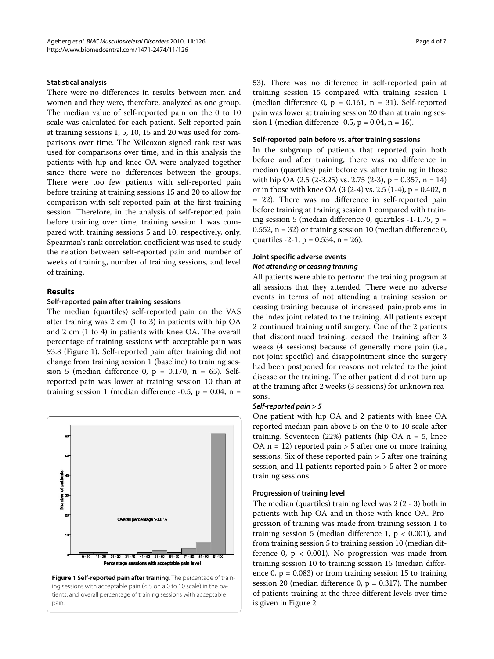### **Statistical analysis**

There were no differences in results between men and women and they were, therefore, analyzed as one group. The median value of self-reported pain on the 0 to 10 scale was calculated for each patient. Self-reported pain at training sessions 1, 5, 10, 15 and 20 was used for comparisons over time. The Wilcoxon signed rank test was used for comparisons over time, and in this analysis the patients with hip and knee OA were analyzed together since there were no differences between the groups. There were too few patients with self-reported pain before training at training sessions 15 and 20 to allow for comparison with self-reported pain at the first training session. Therefore, in the analysis of self-reported pain before training over time, training session 1 was compared with training sessions 5 and 10, respectively, only. Spearman's rank correlation coefficient was used to study the relation between self-reported pain and number of weeks of training, number of training sessions, and level of training.

#### **Results**

#### **Self-reported pain after training sessions**

The median (quartiles) self-reported pain on the VAS after training was 2 cm (1 to 3) in patients with hip OA and 2 cm (1 to 4) in patients with knee OA. The overall percentage of training sessions with acceptable pain was 93.8 (Figure [1](#page-3-0)). Self-reported pain after training did not change from training session 1 (baseline) to training session 5 (median difference 0,  $p = 0.170$ ,  $n = 65$ ). Selfreported pain was lower at training session 10 than at training session 1 (median difference -0.5,  $p = 0.04$ ,  $n =$ 

<span id="page-3-0"></span>

53). There was no difference in self-reported pain at training session 15 compared with training session 1 (median difference 0,  $p = 0.161$ ,  $n = 31$ ). Self-reported pain was lower at training session 20 than at training session 1 (median difference -0.5,  $p = 0.04$ ,  $n = 16$ ).

#### **Self-reported pain before vs. after training sessions**

In the subgroup of patients that reported pain both before and after training, there was no difference in median (quartiles) pain before vs. after training in those with hip OA  $(2.5 (2-3.25)$  vs. 2.75  $(2-3)$ , p = 0.357, n = 14) or in those with knee OA  $(3 (2-4) \text{ vs. } 2.5 (1-4), p = 0.402, n$ = 22). There was no difference in self-reported pain before training at training session 1 compared with training session 5 (median difference 0, quartiles  $-1-1.75$ , p = 0.552, n = 32) or training session 10 (median difference 0, quartiles  $-2-1$ ,  $p = 0.534$ ,  $n = 26$ ).

# **Joint specific adverse events Not attending or ceasing training**

All patients were able to perform the training program at all sessions that they attended. There were no adverse events in terms of not attending a training session or ceasing training because of increased pain/problems in the index joint related to the training. All patients except 2 continued training until surgery. One of the 2 patients that discontinued training, ceased the training after 3 weeks (4 sessions) because of generally more pain (i.e., not joint specific) and disappointment since the surgery had been postponed for reasons not related to the joint disease or the training. The other patient did not turn up at the training after 2 weeks (3 sessions) for unknown reasons.

#### **Self-reported pain > 5**

One patient with hip OA and 2 patients with knee OA reported median pain above 5 on the 0 to 10 scale after training. Seventeen  $(22%)$  patients (hip OA n = 5, knee OA  $n = 12$ ) reported pain > 5 after one or more training sessions. Six of these reported pain > 5 after one training session, and 11 patients reported pain > 5 after 2 or more training sessions.

#### **Progression of training level**

The median (quartiles) training level was 2 (2 - 3) both in patients with hip OA and in those with knee OA. Progression of training was made from training session 1 to training session 5 (median difference 1,  $p < 0.001$ ), and from training session 5 to training session 10 (median difference  $0$ ,  $p < 0.001$ ). No progression was made from training session 10 to training session 15 (median difference 0,  $p = 0.083$ ) or from training session 15 to training session 20 (median difference  $0$ ,  $p = 0.317$ ). The number of patients training at the three different levels over time is given in Figure [2](#page-4-0).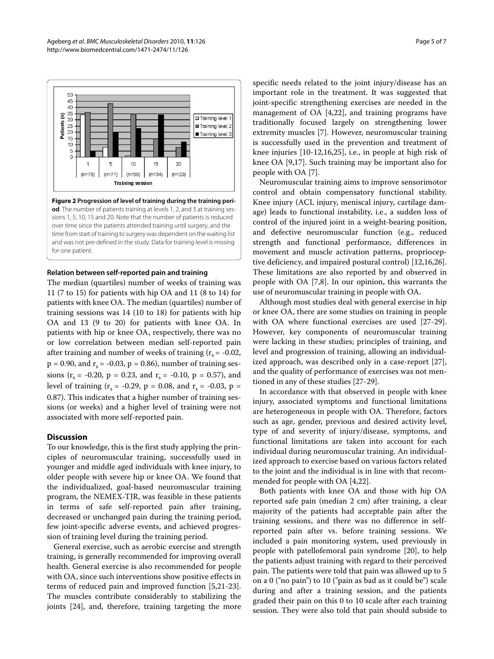<span id="page-4-0"></span>

#### **Relation between self-reported pain and training**

The median (quartiles) number of weeks of training was 11 (7 to 15) for patients with hip OA and 11 (8 to 14) for patients with knee OA. The median (quartiles) number of training sessions was 14 (10 to 18) for patients with hip OA and 13 (9 to 20) for patients with knee OA. In patients with hip or knee OA, respectively, there was no or low correlation between median self-reported pain after training and number of weeks of training  $(r_s = -0.02,$  $p = 0.90$ , and  $r_s = -0.03$ ,  $p = 0.86$ ), number of training sessions ( $r_s$  = -0.20, p = 0.23, and  $r_s$  = -0.10, p = 0.57), and level of training ( $r_s = -0.29$ ,  $p = 0.08$ , and  $r_s = -0.03$ ,  $p =$ 0.87). This indicates that a higher number of training sessions (or weeks) and a higher level of training were not associated with more self-reported pain.

#### **Discussion**

To our knowledge, this is the first study applying the principles of neuromuscular training, successfully used in younger and middle aged individuals with knee injury, to older people with severe hip or knee OA. We found that the individualized, goal-based neuromuscular training program, the NEMEX-TJR, was feasible in these patients in terms of safe self-reported pain after training, decreased or unchanged pain during the training period, few joint-specific adverse events, and achieved progression of training level during the training period.

General exercise, such as aerobic exercise and strength training, is generally recommended for improving overall health. General exercise is also recommended for people with OA, since such interventions show positive effects in terms of reduced pain and improved function [[5,](#page-5-2)[21-](#page-6-11)[23](#page-6-12)]. The muscles contribute considerably to stabilizing the joints [\[24](#page-6-13)], and, therefore, training targeting the more specific needs related to the joint injury/disease has an important role in the treatment. It was suggested that joint-specific strengthening exercises are needed in the management of OA [\[4](#page-5-8)[,22](#page-6-14)], and training programs have traditionally focused largely on strengthening lower extremity muscles [[7\]](#page-5-4). However, neuromuscular training is successfully used in the prevention and treatment of knee injuries [\[10](#page-6-0)-[12,](#page-6-2)[16,](#page-6-5)[25\]](#page-6-15), i.e., in people at high risk of knee OA [[9](#page-5-6),[17\]](#page-6-6). Such training may be important also for people with OA [[7\]](#page-5-4).

Neuromuscular training aims to improve sensorimotor control and obtain compensatory functional stability. Knee injury (ACL injury, meniscal injury, cartilage damage) leads to functional instability, i.e., a sudden loss of control of the injured joint in a weight-bearing position, and defective neuromuscular function (e.g., reduced strength and functional performance, differences in movement and muscle activation patterns, proprioceptive deficiency, and impaired postural control) [\[12](#page-6-2)[,16](#page-6-5)[,26](#page-6-16)]. These limitations are also reported by and observed in people with OA [[7,](#page-5-4)[8\]](#page-5-5). In our opinion, this warrants the use of neuromuscular training in people with OA.

Although most studies deal with general exercise in hip or knee OA, there are some studies on training in people with OA where functional exercises are used [[27](#page-6-17)[-29](#page-6-18)]. However, key components of neuromuscular training were lacking in these studies; principles of training, and level and progression of training, allowing an individualized approach, was described only in a case-report [\[27](#page-6-17)], and the quality of performance of exercises was not mentioned in any of these studies [\[27](#page-6-17)-[29\]](#page-6-18).

In accordance with that observed in people with knee injury, associated symptoms and functional limitations are heterogeneous in people with OA. Therefore, factors such as age, gender, previous and desired activity level, type of and severity of injury/disease, symptoms, and functional limitations are taken into account for each individual during neuromuscular training. An individualized approach to exercise based on various factors related to the joint and the individual is in line with that recommended for people with OA [[4,](#page-5-8)[22\]](#page-6-14).

Both patients with knee OA and those with hip OA reported safe pain (median 2 cm) after training, a clear majority of the patients had acceptable pain after the training sessions, and there was no difference in selfreported pain after vs. before training sessions. We included a pain monitoring system, used previously in people with patellofemoral pain syndrome [[20\]](#page-6-10), to help the patients adjust training with regard to their perceived pain. The patients were told that pain was allowed up to 5 on a 0 ("no pain") to 10 ("pain as bad as it could be") scale during and after a training session, and the patients graded their pain on this 0 to 10 scale after each training session. They were also told that pain should subside to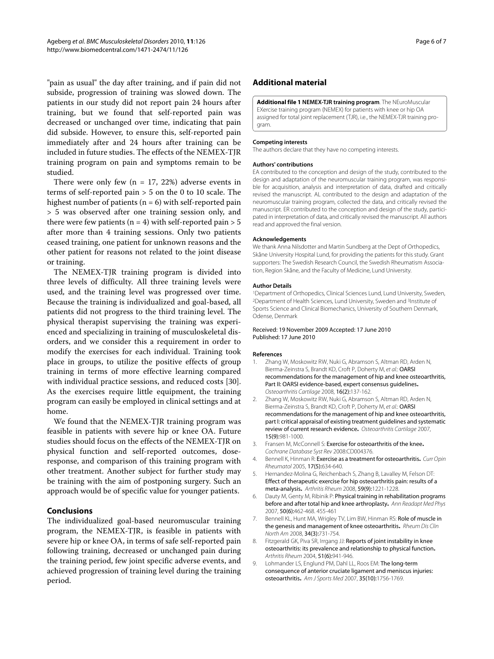"pain as usual" the day after training, and if pain did not subside, progression of training was slowed down. The patients in our study did not report pain 24 hours after training, but we found that self-reported pain was decreased or unchanged over time, indicating that pain did subside. However, to ensure this, self-reported pain immediately after and 24 hours after training can be included in future studies. The effects of the NEMEX-TJR training program on pain and symptoms remain to be studied.

There were only few  $(n = 17, 22%)$  adverse events in terms of self-reported pain > 5 on the 0 to 10 scale. The highest number of patients ( $n = 6$ ) with self-reported pain > 5 was observed after one training session only, and there were few patients ( $n = 4$ ) with self-reported pain  $> 5$ after more than 4 training sessions. Only two patients ceased training, one patient for unknown reasons and the other patient for reasons not related to the joint disease or training.

The NEMEX-TJR training program is divided into three levels of difficulty. All three training levels were used, and the training level was progressed over time. Because the training is individualized and goal-based, all patients did not progress to the third training level. The physical therapist supervising the training was experienced and specializing in training of musculoskeletal disorders, and we consider this a requirement in order to modify the exercises for each individual. Training took place in groups, to utilize the positive effects of group training in terms of more effective learning compared with individual practice sessions, and reduced costs [\[30](#page-6-19)]. As the exercises require little equipment, the training program can easily be employed in clinical settings and at home.

We found that the NEMEX-TJR training program was feasible in patients with severe hip or knee OA. Future studies should focus on the effects of the NEMEX-TJR on physical function and self-reported outcomes, doseresponse, and comparison of this training program with other treatment. Another subject for further study may be training with the aim of postponing surgery. Such an approach would be of specific value for younger patients.

#### **Conclusions**

The individualized goal-based neuromuscular training program, the NEMEX-TJR, is feasible in patients with severe hip or knee OA, in terms of safe self-reported pain following training, decreased or unchanged pain during the training period, few joint specific adverse events, and achieved progression of training level during the training period.

## **Additional material**

<span id="page-5-7"></span>**[Additional file 1](http://www.biomedcentral.com/content/supplementary/1471-2474-11-126-S1.PDF) NEMEX-TJR training program**. The NEuroMuscular EXercise training program (NEMEX) for patients with knee or hip OA assigned for total joint replacement (TJR), i.e., the NEMEX-TJR training program.

#### **Competing interests**

The authors declare that they have no competing interests.

#### **Authors' contributions**

EA contributed to the conception and design of the study, contributed to the design and adaptation of the neuromuscular training program, was responsible for acquisition, analysis and interpretation of data, drafted and critically revised the manuscript. AL contributed to the design and adaptation of the neuromuscular training program, collected the data, and critically revised the manuscript. ER contributed to the conception and design of the study, participated in interpretation of data, and critically revised the manuscript. All authors read and approved the final version.

#### **Acknowledgements**

We thank Anna Nilsdotter and Martin Sundberg at the Dept of Orthopedics, Skåne University Hospital Lund, for providing the patients for this study. Grant supporters: The Swedish Research Council, the Swedish Rheumatism Association, Region Skåne, and the Faculty of Medicine, Lund University.

#### **Author Details**

<sup>1</sup>Department of Orthopedics, Clinical Sciences Lund, Lund University, Sweden,<br><sup>2</sup>Department of Health Sciences, Lund University, Sweden and <sup>3</sup>Institute of Sports Science and Clinical Biomechanics, University of Southern Denmark, Odense, Denmark

#### Received: 19 November 2009 Accepted: 17 June 2010 Published: 17 June 2010

#### **References**

- <span id="page-5-0"></span>Zhang W, Moskowitz RW, Nuki G, Abramson S, Altman RD, Arden N, Bierma-Zeinstra S, Brandt KD, Croft P, Doherty M, et al.: OARSI recommendations for the management of hip and knee osteoarthritis, Part II: OARSI evidence-based, expert consensus guidelines**[.](http://www.ncbi.nlm.nih.gov/entrez/query.fcgi?cmd=Retrieve&db=PubMed&dopt=Abstract&list_uids=18279766)** Osteoarthritis Cartilage 2008, 16(2):137-162.
- <span id="page-5-1"></span>2. Zhang W, Moskowitz RW, Nuki G, Abramson S, Altman RD, Arden N, Bierma-Zeinstra S, Brandt KD, Croft P, Doherty M, et al.: OARSI recommendations for the management of hip and knee osteoarthritis, part I: critical appraisal of existing treatment guidelines and systematic review of current research evidenc[e](http://www.ncbi.nlm.nih.gov/entrez/query.fcgi?cmd=Retrieve&db=PubMed&dopt=Abstract&list_uids=17719803)**.** Osteoarthritis Cartilage 2007, 15(9):981-1000.
- 3. Fransen M, McConnell S: Exercise for osteoarthritis of the knee**.** Cochrane Database Syst Rev 2008:CD004376.
- <span id="page-5-8"></span>4. Bennell K, Hinman R: Exercise as a treatment for osteoarthritis**.** Curr Opin Rheumatol 2005, 17(5):634-640.
- <span id="page-5-2"></span>5. Hernandez-Molina G, Reichenbach S, Zhang B, Lavalley M, Felson DT: Effect of therapeutic exercise for hip osteoarthritis pain: results of a meta-analysis**[.](http://www.ncbi.nlm.nih.gov/entrez/query.fcgi?cmd=Retrieve&db=PubMed&dopt=Abstract&list_uids=18759315)** Arthritis Rheum 2008, 59(9):1221-1228.
- <span id="page-5-3"></span>Dauty M, Genty M, Ribinik P: Physical training in rehabilitation programs before and after total hip and knee arthroplasty**.** Ann Readapt Med Phys 2007, 50(6):462-468. 455-461
- <span id="page-5-4"></span>7. Bennell KL, Hunt MA, Wrigley TV, Lim BW, Hinman RS: Role of muscle in the genesis and management of knee osteoarthritis**.** Rheum Dis Clin North Am 2008, 34(3):731-754.
- <span id="page-5-5"></span>8. Fitzgerald GK, Piva SR, Irrgang JJ: Reports of joint instability in knee osteoarthritis: its prevalence and relationship to physical function**.** Arthritis Rheum 2004, 51(6):941-946.
- <span id="page-5-6"></span>9. Lohmander LS, Englund PM, Dahl LL, Roos EM: The long-term consequence of anterior cruciate ligament and meniscus injuries: osteoarthritis**[.](http://www.ncbi.nlm.nih.gov/entrez/query.fcgi?cmd=Retrieve&db=PubMed&dopt=Abstract&list_uids=17761605)** Am J Sports Med 2007, 35(10):1756-1769.